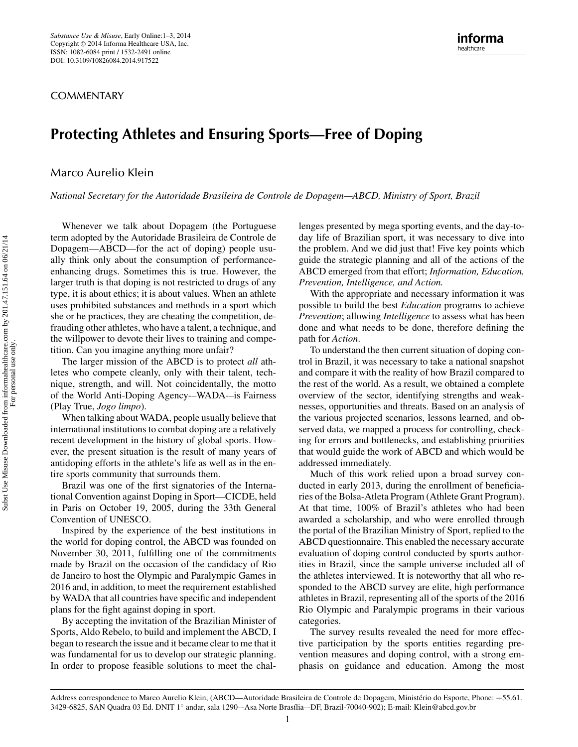**COMMENTARY** 

## **Protecting Athletes and Ensuring Sports—Free of Doping**

## Marco Aurelio Klein

*National Secretary for the Autoridade Brasileira de Controle de Dopagem—ABCD, Ministry of Sport, Brazil*

Whenever we talk about Dopagem (the Portuguese term adopted by the Autoridade Brasileira de Controle de Dopagem—ABCD—for the act of doping) people usually think only about the consumption of performanceenhancing drugs. Sometimes this is true. However, the larger truth is that doping is not restricted to drugs of any type, it is about ethics; it is about values. When an athlete uses prohibited substances and methods in a sport which she or he practices, they are cheating the competition, defrauding other athletes, who have a talent, a technique, and the willpower to devote their lives to training and competition. Can you imagine anything more unfair?

The larger mission of the ABCD is to protect *all* athletes who compete cleanly, only with their talent, technique, strength, and will. Not coincidentally, the motto of the World Anti-Doping Agency-–WADA-–is Fairness (Play True, *Jogo limpo*).

When talking about WADA, people usually believe that international institutions to combat doping are a relatively recent development in the history of global sports. However, the present situation is the result of many years of antidoping efforts in the athlete's life as well as in the entire sports community that surrounds them.

Brazil was one of the first signatories of the International Convention against Doping in Sport—CICDE, held in Paris on October 19, 2005, during the 33th General Convention of UNESCO.

Inspired by the experience of the best institutions in the world for doping control, the ABCD was founded on November 30, 2011, fulfilling one of the commitments made by Brazil on the occasion of the candidacy of Rio de Janeiro to host the Olympic and Paralympic Games in 2016 and, in addition, to meet the requirement established by WADA that all countries have specific and independent plans for the fight against doping in sport.

By accepting the invitation of the Brazilian Minister of Sports, Aldo Rebelo, to build and implement the ABCD, I began to research the issue and it became clear to me that it was fundamental for us to develop our strategic planning. In order to propose feasible solutions to meet the challenges presented by mega sporting events, and the day-today life of Brazilian sport, it was necessary to dive into the problem. And we did just that! Five key points which guide the strategic planning and all of the actions of the ABCD emerged from that effort; *Information, Education, Prevention, Intelligence, and Action.*

With the appropriate and necessary information it was possible to build the best *Education* programs to achieve *Prevention*; allowing *Intelligence* to assess what has been done and what needs to be done, therefore defining the path for *Action*.

To understand the then current situation of doping control in Brazil, it was necessary to take a national snapshot and compare it with the reality of how Brazil compared to the rest of the world. As a result, we obtained a complete overview of the sector, identifying strengths and weaknesses, opportunities and threats. Based on an analysis of the various projected scenarios, lessons learned, and observed data, we mapped a process for controlling, checking for errors and bottlenecks, and establishing priorities that would guide the work of ABCD and which would be addressed immediately.

Much of this work relied upon a broad survey conducted in early 2013, during the enrollment of beneficiaries of the Bolsa-Atleta Program (Athlete Grant Program). At that time, 100% of Brazil's athletes who had been awarded a scholarship, and who were enrolled through the portal of the Brazilian Ministry of Sport, replied to the ABCD questionnaire. This enabled the necessary accurate evaluation of doping control conducted by sports authorities in Brazil, since the sample universe included all of the athletes interviewed. It is noteworthy that all who responded to the ABCD survey are elite, high performance athletes in Brazil, representing all of the sports of the 2016 Rio Olympic and Paralympic programs in their various categories.

The survey results revealed the need for more effective participation by the sports entities regarding prevention measures and doping control, with a strong emphasis on guidance and education. Among the most

Address correspondence to Marco Aurelio Klein, (ABCD—Autoridade Brasileira de Controle de Dopagem, Ministério do Esporte, Phone: +55.61. 3429-6825, SAN Quadra 03 Ed. DNIT 1◦ andar, sala 1290–-Asa Norte Bras´ılia–-DF, Brazil-70040-902); E-mail: Klein@abcd.gov.br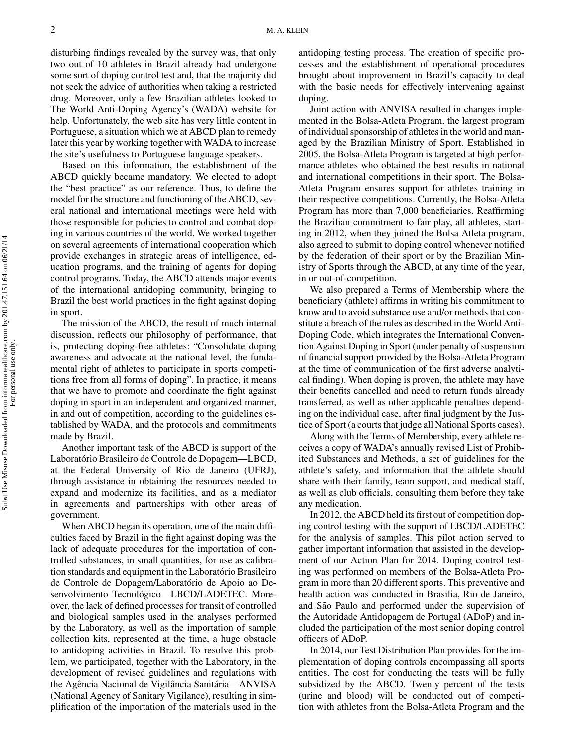disturbing findings revealed by the survey was, that only two out of 10 athletes in Brazil already had undergone some sort of doping control test and, that the majority did not seek the advice of authorities when taking a restricted drug. Moreover, only a few Brazilian athletes looked to The World Anti-Doping Agency's (WADA) website for help. Unfortunately, the web site has very little content in Portuguese, a situation which we at ABCD plan to remedy later this year by working together with WADA to increase the site's usefulness to Portuguese language speakers.

Based on this information, the establishment of the ABCD quickly became mandatory. We elected to adopt the "best practice" as our reference. Thus, to define the model for the structure and functioning of the ABCD, several national and international meetings were held with those responsible for policies to control and combat doping in various countries of the world. We worked together on several agreements of international cooperation which provide exchanges in strategic areas of intelligence, education programs, and the training of agents for doping control programs. Today, the ABCD attends major events of the international antidoping community, bringing to Brazil the best world practices in the fight against doping in sport.

The mission of the ABCD, the result of much internal discussion, reflects our philosophy of performance, that is, protecting doping-free athletes: "Consolidate doping awareness and advocate at the national level, the fundamental right of athletes to participate in sports competitions free from all forms of doping". In practice, it means that we have to promote and coordinate the fight against doping in sport in an independent and organized manner, in and out of competition, according to the guidelines established by WADA, and the protocols and commitments made by Brazil.

Another important task of the ABCD is support of the Laboratório Brasileiro de Controle de Dopagem—LBCD, at the Federal University of Rio de Janeiro (UFRJ), through assistance in obtaining the resources needed to expand and modernize its facilities, and as a mediator in agreements and partnerships with other areas of government.

When ABCD began its operation, one of the main difficulties faced by Brazil in the fight against doping was the lack of adequate procedures for the importation of controlled substances, in small quantities, for use as calibration standards and equipment in the Laboratório Brasileiro de Controle de Dopagem/Laboratório de Apoio ao Desenvolvimento Tecnológico—LBCD/LADETEC. Moreover, the lack of defined processes for transit of controlled and biological samples used in the analyses performed by the Laboratory, as well as the importation of sample collection kits, represented at the time, a huge obstacle to antidoping activities in Brazil. To resolve this problem, we participated, together with the Laboratory, in the development of revised guidelines and regulations with the Agência Nacional de Vigilância Sanitária-ANVISA (National Agency of Sanitary Vigilance), resulting in simplification of the importation of the materials used in the antidoping testing process. The creation of specific processes and the establishment of operational procedures brought about improvement in Brazil's capacity to deal with the basic needs for effectively intervening against doping.

Joint action with ANVISA resulted in changes implemented in the Bolsa-Atleta Program, the largest program of individual sponsorship of athletes in the world and managed by the Brazilian Ministry of Sport. Established in 2005, the Bolsa-Atleta Program is targeted at high performance athletes who obtained the best results in national and international competitions in their sport. The Bolsa-Atleta Program ensures support for athletes training in their respective competitions. Currently, the Bolsa-Atleta Program has more than 7,000 beneficiaries. Reaffirming the Brazilian commitment to fair play, all athletes, starting in 2012, when they joined the Bolsa Atleta program, also agreed to submit to doping control whenever notified by the federation of their sport or by the Brazilian Ministry of Sports through the ABCD, at any time of the year, in or out-of-competition.

We also prepared a Terms of Membership where the beneficiary (athlete) affirms in writing his commitment to know and to avoid substance use and/or methods that constitute a breach of the rules as described in the World Anti-Doping Code, which integrates the International Convention Against Doping in Sport (under penalty of suspension of financial support provided by the Bolsa-Atleta Program at the time of communication of the first adverse analytical finding). When doping is proven, the athlete may have their benefits cancelled and need to return funds already transferred, as well as other applicable penalties depending on the individual case, after final judgment by the Justice of Sport (a courts that judge all National Sports cases).

Along with the Terms of Membership, every athlete receives a copy of WADA's annually revised List of Prohibited Substances and Methods, a set of guidelines for the athlete's safety, and information that the athlete should share with their family, team support, and medical staff, as well as club officials, consulting them before they take any medication.

In 2012, the ABCD held its first out of competition doping control testing with the support of LBCD/LADETEC for the analysis of samples. This pilot action served to gather important information that assisted in the development of our Action Plan for 2014. Doping control testing was performed on members of the Bolsa-Atleta Program in more than 20 different sports. This preventive and health action was conducted in Brasilia, Rio de Janeiro, and São Paulo and performed under the supervision of the Autoridade Antidopagem de Portugal (ADoP) and included the participation of the most senior doping control officers of ADoP.

In 2014, our Test Distribution Plan provides for the implementation of doping controls encompassing all sports entities. The cost for conducting the tests will be fully subsidized by the ABCD. Twenty percent of the tests (urine and blood) will be conducted out of competition with athletes from the Bolsa-Atleta Program and the